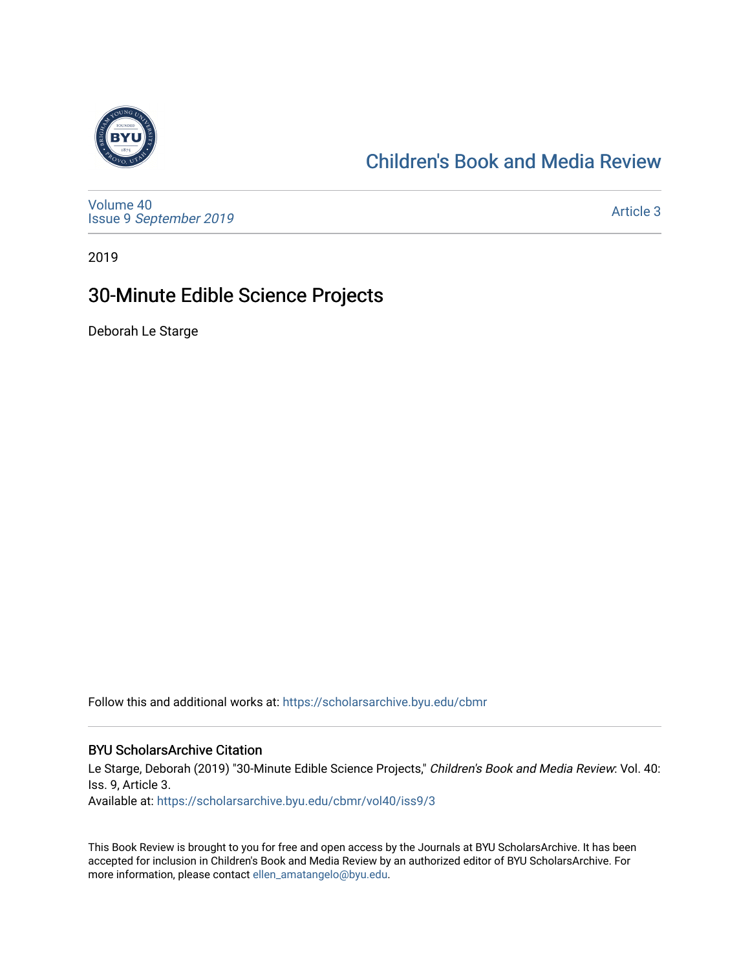

## [Children's Book and Media Review](https://scholarsarchive.byu.edu/cbmr)

[Volume 40](https://scholarsarchive.byu.edu/cbmr/vol40) Issue 9 [September 2019](https://scholarsarchive.byu.edu/cbmr/vol40/iss9) 

[Article 3](https://scholarsarchive.byu.edu/cbmr/vol40/iss9/3) 

2019

## 30-Minute Edible Science Projects

Deborah Le Starge

Follow this and additional works at: [https://scholarsarchive.byu.edu/cbmr](https://scholarsarchive.byu.edu/cbmr?utm_source=scholarsarchive.byu.edu%2Fcbmr%2Fvol40%2Fiss9%2F3&utm_medium=PDF&utm_campaign=PDFCoverPages) 

#### BYU ScholarsArchive Citation

Le Starge, Deborah (2019) "30-Minute Edible Science Projects," Children's Book and Media Review: Vol. 40: Iss. 9, Article 3.

Available at: [https://scholarsarchive.byu.edu/cbmr/vol40/iss9/3](https://scholarsarchive.byu.edu/cbmr/vol40/iss9/3?utm_source=scholarsarchive.byu.edu%2Fcbmr%2Fvol40%2Fiss9%2F3&utm_medium=PDF&utm_campaign=PDFCoverPages) 

This Book Review is brought to you for free and open access by the Journals at BYU ScholarsArchive. It has been accepted for inclusion in Children's Book and Media Review by an authorized editor of BYU ScholarsArchive. For more information, please contact [ellen\\_amatangelo@byu.edu.](mailto:ellen_amatangelo@byu.edu)